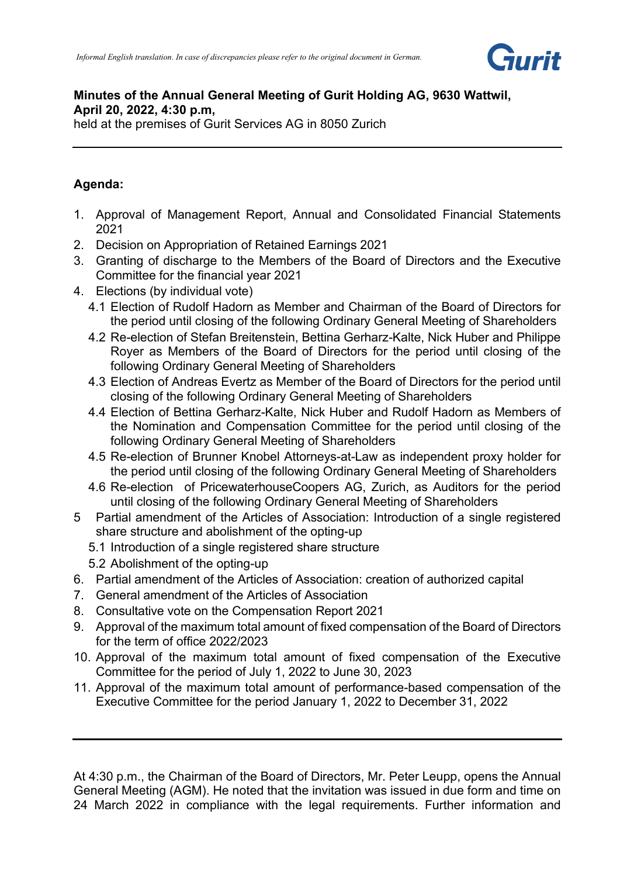

### **Minutes of the Annual General Meeting of Gurit Holding AG, 9630 Wattwil, April 20, 2022, 4:30 p.m,**  held at the premises of Gurit Services AG in 8050 Zurich

# **Agenda:**

- 1. Approval of Management Report, Annual and Consolidated Financial Statements 2021
- 2. Decision on Appropriation of Retained Earnings 2021
- 3. Granting of discharge to the Members of the Board of Directors and the Executive Committee for the financial year 2021
- 4. Elections (by individual vote)
	- 4.1 Election of Rudolf Hadorn as Member and Chairman of the Board of Directors for the period until closing of the following Ordinary General Meeting of Shareholders
	- 4.2 Re-election of Stefan Breitenstein, Bettina Gerharz-Kalte, Nick Huber and Philippe Royer as Members of the Board of Directors for the period until closing of the following Ordinary General Meeting of Shareholders
	- 4.3 Election of Andreas Evertz as Member of the Board of Directors for the period until closing of the following Ordinary General Meeting of Shareholders
	- 4.4 Election of Bettina Gerharz-Kalte, Nick Huber and Rudolf Hadorn as Members of the Nomination and Compensation Committee for the period until closing of the following Ordinary General Meeting of Shareholders
	- 4.5 Re-election of Brunner Knobel Attorneys-at-Law as independent proxy holder for the period until closing of the following Ordinary General Meeting of Shareholders
	- 4.6 Re-election of PricewaterhouseCoopers AG, Zurich, as Auditors for the period until closing of the following Ordinary General Meeting of Shareholders
- 5 Partial amendment of the Articles of Association: Introduction of a single registered share structure and abolishment of the opting-up
	- 5.1 Introduction of a single registered share structure
	- 5.2 Abolishment of the opting-up
- 6. Partial amendment of the Articles of Association: creation of authorized capital
- 7. General amendment of the Articles of Association
- 8. Consultative vote on the Compensation Report 2021
- 9. Approval of the maximum total amount of fixed compensation of the Board of Directors for the term of office 2022/2023
- 10. Approval of the maximum total amount of fixed compensation of the Executive Committee for the period of July 1, 2022 to June 30, 2023
- 11. Approval of the maximum total amount of performance-based compensation of the Executive Committee for the period January 1, 2022 to December 31, 2022

At 4:30 p.m., the Chairman of the Board of Directors, Mr. Peter Leupp, opens the Annual General Meeting (AGM). He noted that the invitation was issued in due form and time on 24 March 2022 in compliance with the legal requirements. Further information and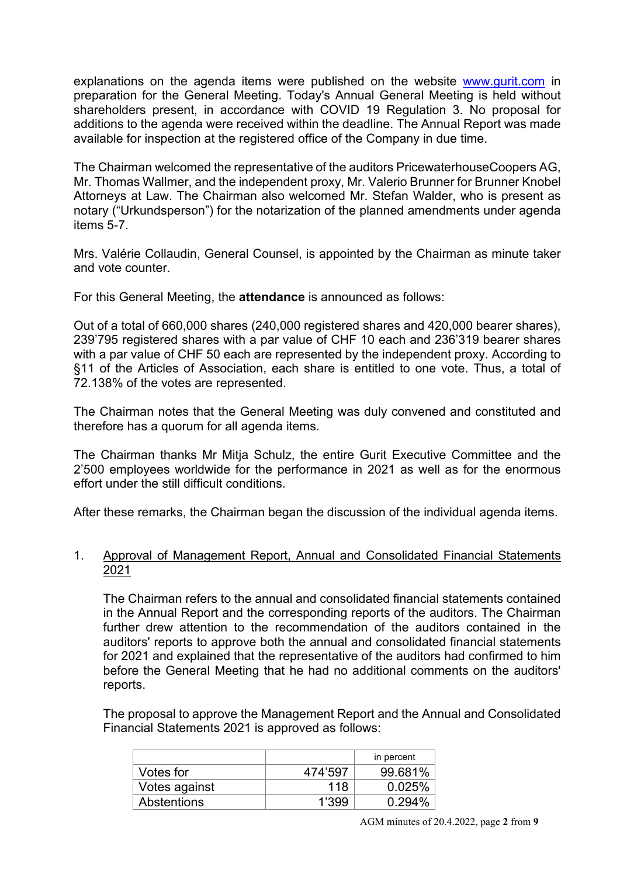explanations on the agenda items were published on the website [www.gurit.com](http://www.gurit.com/) in preparation for the General Meeting. Today's Annual General Meeting is held without shareholders present, in accordance with COVID 19 Regulation 3. No proposal for additions to the agenda were received within the deadline. The Annual Report was made available for inspection at the registered office of the Company in due time.

The Chairman welcomed the representative of the auditors PricewaterhouseCoopers AG, Mr. Thomas Wallmer, and the independent proxy, Mr. Valerio Brunner for Brunner Knobel Attorneys at Law. The Chairman also welcomed Mr. Stefan Walder, who is present as notary ("Urkundsperson") for the notarization of the planned amendments under agenda items 5-7.

Mrs. Valérie Collaudin, General Counsel, is appointed by the Chairman as minute taker and vote counter.

For this General Meeting, the **attendance** is announced as follows:

Out of a total of 660,000 shares (240,000 registered shares and 420,000 bearer shares), 239'795 registered shares with a par value of CHF 10 each and 236'319 bearer shares with a par value of CHF 50 each are represented by the independent proxy. According to §11 of the Articles of Association, each share is entitled to one vote. Thus, a total of 72.138% of the votes are represented.

The Chairman notes that the General Meeting was duly convened and constituted and therefore has a quorum for all agenda items.

The Chairman thanks Mr Mitja Schulz, the entire Gurit Executive Committee and the 2'500 employees worldwide for the performance in 2021 as well as for the enormous effort under the still difficult conditions.

After these remarks, the Chairman began the discussion of the individual agenda items.

# 1. Approval of Management Report, Annual and Consolidated Financial Statements 2021

The Chairman refers to the annual and consolidated financial statements contained in the Annual Report and the corresponding reports of the auditors. The Chairman further drew attention to the recommendation of the auditors contained in the auditors' reports to approve both the annual and consolidated financial statements for 2021 and explained that the representative of the auditors had confirmed to him before the General Meeting that he had no additional comments on the auditors' reports.

The proposal to approve the Management Report and the Annual and Consolidated Financial Statements 2021 is approved as follows:

|               |         | in percent |
|---------------|---------|------------|
| Votes for     | 474'597 | 99.681%    |
| Votes against | 118     | 0.025%     |
| Abstentions   | 1'399   | 0.294%     |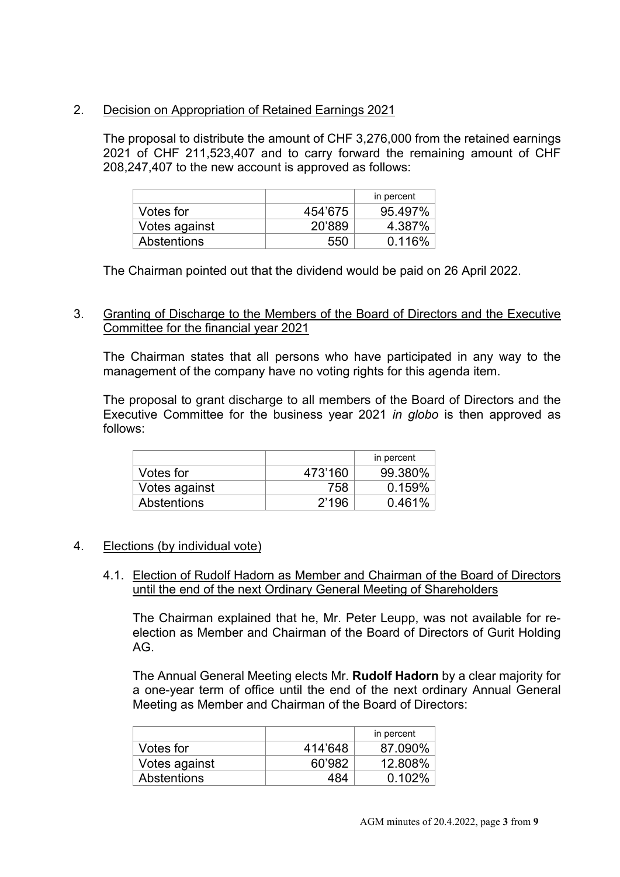# 2. Decision on Appropriation of Retained Earnings 2021

The proposal to distribute the amount of CHF 3,276,000 from the retained earnings 2021 of CHF 211,523,407 and to carry forward the remaining amount of CHF 208,247,407 to the new account is approved as follows:

|                    |         | in percent |
|--------------------|---------|------------|
| Votes for          | 454'675 | 95.497%    |
| Votes against      | 20'889  | 4.387%     |
| <b>Abstentions</b> | 550     | 0.116%     |

The Chairman pointed out that the dividend would be paid on 26 April 2022.

# 3. Granting of Discharge to the Members of the Board of Directors and the Executive Committee for the financial year 2021

The Chairman states that all persons who have participated in any way to the management of the company have no voting rights for this agenda item.

The proposal to grant discharge to all members of the Board of Directors and the Executive Committee for the business year 2021 *in globo* is then approved as follows:

|                    |         | in percent |
|--------------------|---------|------------|
| Votes for          | 473'160 | 99.380%    |
| Votes against      | 758     | 0.159%     |
| <b>Abstentions</b> | 2'196   | 0.461%     |

# 4. Elections (by individual vote)

4.1. Election of Rudolf Hadorn as Member and Chairman of the Board of Directors until the end of the next Ordinary General Meeting of Shareholders

The Chairman explained that he, Mr. Peter Leupp, was not available for reelection as Member and Chairman of the Board of Directors of Gurit Holding AG.

The Annual General Meeting elects Mr. **Rudolf Hadorn** by a clear majority for a one-year term of office until the end of the next ordinary Annual General Meeting as Member and Chairman of the Board of Directors:

|               |         | in percent |
|---------------|---------|------------|
| Votes for     | 414'648 | 87.090%    |
| Votes against | 60'982  | 12.808%    |
| Abstentions   | 484     | 0.102%     |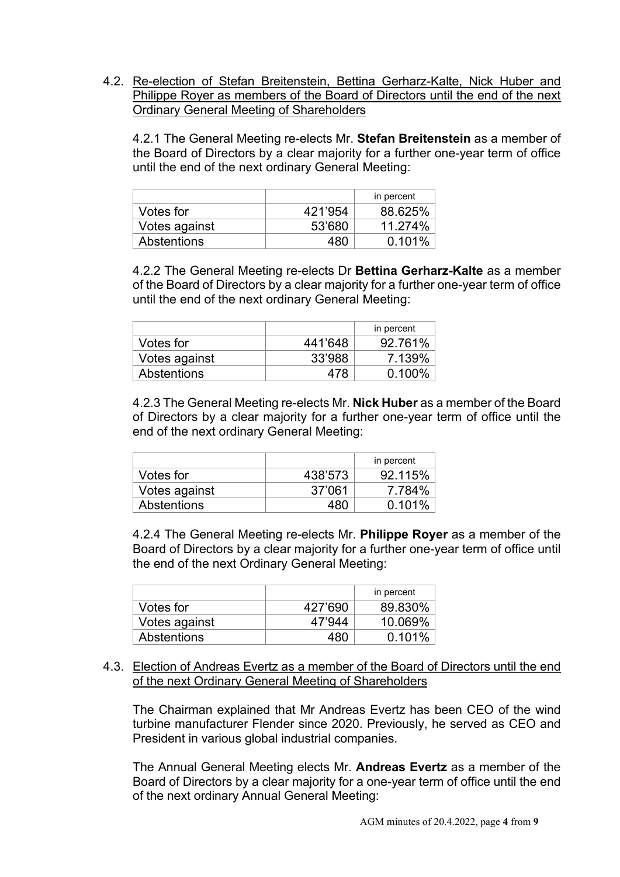4.2. Re-election of Stefan Breitenstein, Bettina Gerharz-Kalte, Nick Huber and Philippe Royer as members of the Board of Directors until the end of the next Ordinary General Meeting of Shareholders

4.2.1 The General Meeting re-elects Mr. **Stefan Breitenstein** as a member of the Board of Directors by a clear majority for a further one-year term of office until the end of the next ordinary General Meeting:

|                    |         | in percent |
|--------------------|---------|------------|
| Votes for          | 421'954 | 88.625%    |
| Votes against      | 53'680  | 11.274%    |
| <b>Abstentions</b> | 480     | 0.101%     |

4.2.2 The General Meeting re-elects Dr **Bettina Gerharz-Kalte** as a member of the Board of Directors by a clear majority for a further one-year term of office until the end of the next ordinary General Meeting:

|               |         | in percent |
|---------------|---------|------------|
| Votes for     | 441'648 | 92.761%    |
| Votes against | 33'988  | 7.139%     |
| Abstentions   | 478     | $0.100\%$  |

4.2.3 The General Meeting re-elects Mr. **Nick Huber** as a member of the Board of Directors by a clear majority for a further one-year term of office until the end of the next ordinary General Meeting:

|               |         | in percent |
|---------------|---------|------------|
| Votes for     | 438'573 | 92.115%    |
| Votes against | 37'061  | 7.784%     |
| Abstentions   | 18 N    | 0.101%     |

4.2.4 The General Meeting re-elects Mr. **Philippe Royer** as a member of the Board of Directors by a clear majority for a further one-year term of office until the end of the next Ordinary General Meeting:

|                    |         | in percent |
|--------------------|---------|------------|
| Votes for          | 427'690 | 89.830%    |
| Votes against      | 47'944  | 10.069%    |
| <b>Abstentions</b> | 480     | 0.101%     |

#### 4.3. Election of Andreas Evertz as a member of the Board of Directors until the end of the next Ordinary General Meeting of Shareholders

The Chairman explained that Mr Andreas Evertz has been CEO of the wind turbine manufacturer Flender since 2020. Previously, he served as CEO and President in various global industrial companies.

The Annual General Meeting elects Mr. **Andreas Evertz** as a member of the Board of Directors by a clear majority for a one-year term of office until the end of the next ordinary Annual General Meeting: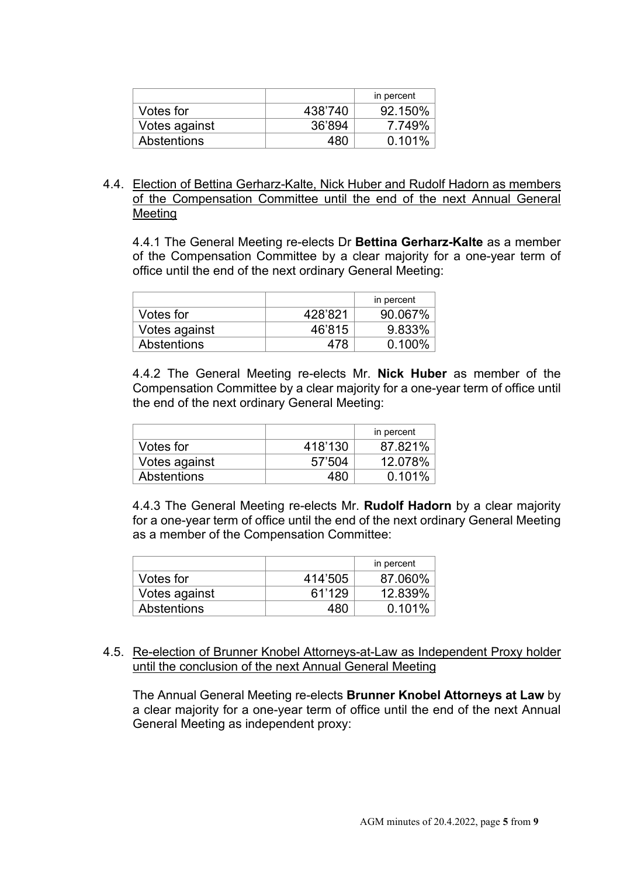|               |         | in percent |
|---------------|---------|------------|
| Votes for     | 438'740 | 92.150%    |
| Votes against | 36'894  | 7.749%     |
| Abstentions   | 480     | 0.101%     |

# 4.4. Election of Bettina Gerharz-Kalte, Nick Huber and Rudolf Hadorn as members of the Compensation Committee until the end of the next Annual General Meeting

4.4.1 The General Meeting re-elects Dr **Bettina Gerharz-Kalte** as a member of the Compensation Committee by a clear majority for a one-year term of office until the end of the next ordinary General Meeting:

|                    |         | in percent |
|--------------------|---------|------------|
| Votes for          | 428'821 | 90.067%    |
| Votes against      | 46'815  | 9.833%     |
| <b>Abstentions</b> | 478     | 0.100%     |

4.4.2 The General Meeting re-elects Mr. **Nick Huber** as member of the Compensation Committee by a clear majority for a one-year term of office until the end of the next ordinary General Meeting:

|                    |         | in percent |
|--------------------|---------|------------|
| Votes for          | 418'130 | 87.821%    |
| Votes against      | 57'504  | 12.078%    |
| <b>Abstentions</b> | 48∩     | 0.101%     |

4.4.3 The General Meeting re-elects Mr. **Rudolf Hadorn** by a clear majority for a one-year term of office until the end of the next ordinary General Meeting as a member of the Compensation Committee:

|               |         | in percent |
|---------------|---------|------------|
| Votes for     | 414'505 | 87.060%    |
| Votes against | 61'129  | 12.839%    |
| Abstentions   | 480     | 0.101%     |

#### 4.5. Re-election of Brunner Knobel Attorneys-at-Law as Independent Proxy holder until the conclusion of the next Annual General Meeting

The Annual General Meeting re-elects **Brunner Knobel Attorneys at Law** by a clear majority for a one-year term of office until the end of the next Annual General Meeting as independent proxy: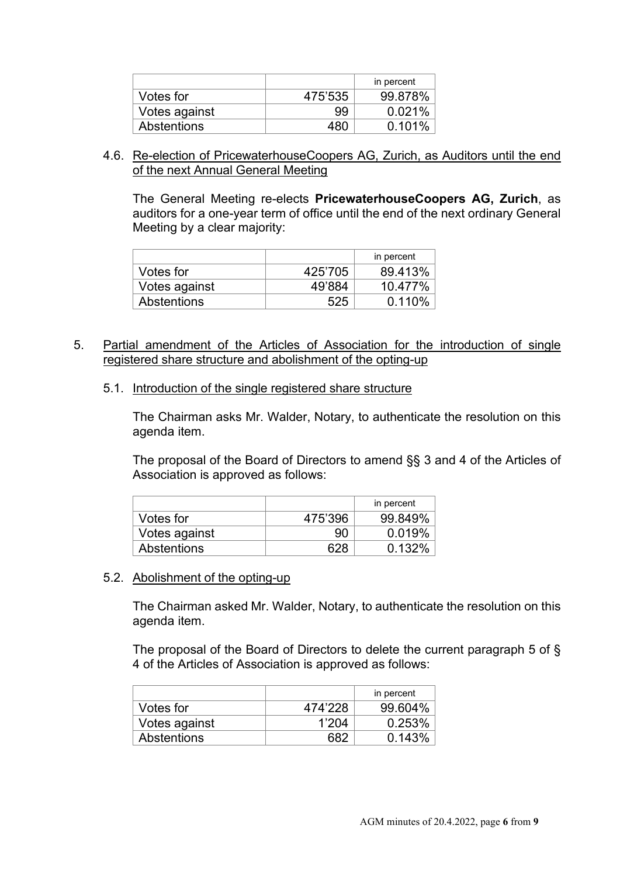|               |         | in percent |
|---------------|---------|------------|
| Votes for     | 475'535 | 99.878%    |
| Votes against | 99      | 0.021%     |
| Abstentions   | 480     | 0.101%     |

4.6. Re-election of PricewaterhouseCoopers AG, Zurich, as Auditors until the end of the next Annual General Meeting

The General Meeting re-elects **PricewaterhouseCoopers AG, Zurich**, as auditors for a one-year term of office until the end of the next ordinary General Meeting by a clear majority:

|                    |         | in percent |
|--------------------|---------|------------|
| Votes for          | 425'705 | 89.413%    |
| Votes against      | 49'884  | 10.477%    |
| <b>Abstentions</b> | 525     | 0.110%     |

- 5. Partial amendment of the Articles of Association for the introduction of single registered share structure and abolishment of the opting-up
	- 5.1. Introduction of the single registered share structure

The Chairman asks Mr. Walder, Notary, to authenticate the resolution on this agenda item.

The proposal of the Board of Directors to amend §§ 3 and 4 of the Articles of Association is approved as follows:

|               |         | in percent |
|---------------|---------|------------|
| Votes for     | 475'396 | 99.849%    |
| Votes against | 90      | 0.019%     |
| Abstentions   | ററ      | 0.132%     |

# 5.2. Abolishment of the opting-up

The Chairman asked Mr. Walder, Notary, to authenticate the resolution on this agenda item.

The proposal of the Board of Directors to delete the current paragraph 5 of § 4 of the Articles of Association is approved as follows:

|               |         | in percent |
|---------------|---------|------------|
| Votes for     | 474'228 | 99.604%    |
| Votes against | 1'204   | 0.253%     |
| Abstentions   |         | 0.143%     |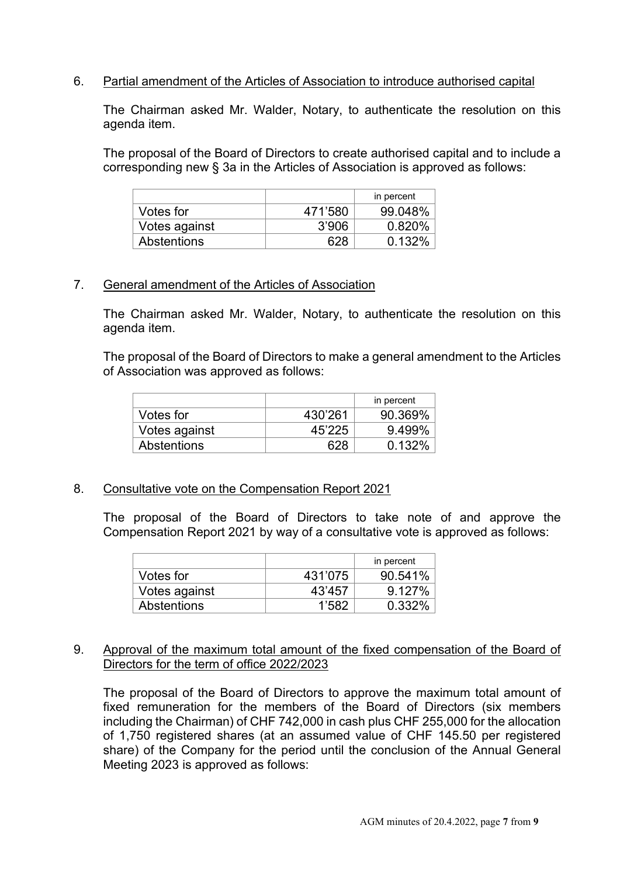# 6. Partial amendment of the Articles of Association to introduce authorised capital

The Chairman asked Mr. Walder, Notary, to authenticate the resolution on this agenda item.

The proposal of the Board of Directors to create authorised capital and to include a corresponding new § 3a in the Articles of Association is approved as follows:

|                    |         | in percent |
|--------------------|---------|------------|
| Votes for          | 471'580 | 99.048%    |
| Votes against      | 3'906   | 0.820%     |
| <b>Abstentions</b> |         | $0.132\%$  |

#### 7. General amendment of the Articles of Association

The Chairman asked Mr. Walder, Notary, to authenticate the resolution on this agenda item.

The proposal of the Board of Directors to make a general amendment to the Articles of Association was approved as follows:

|                    |         | in percent |
|--------------------|---------|------------|
| Votes for          | 430'261 | 90.369%    |
| Votes against      | 45'225  | 9.499%     |
| <b>Abstentions</b> | 628     | 0.132%     |

# 8. Consultative vote on the Compensation Report 2021

The proposal of the Board of Directors to take note of and approve the Compensation Report 2021 by way of a consultative vote is approved as follows:

|                    |         | in percent |
|--------------------|---------|------------|
| Votes for          | 431'075 | 90.541%    |
| Votes against      | 43'457  | 9.127%     |
| <b>Abstentions</b> | 1'582   | $0.332\%$  |

#### 9. Approval of the maximum total amount of the fixed compensation of the Board of Directors for the term of office 2022/2023

The proposal of the Board of Directors to approve the maximum total amount of fixed remuneration for the members of the Board of Directors (six members including the Chairman) of CHF 742,000 in cash plus CHF 255,000 for the allocation of 1,750 registered shares (at an assumed value of CHF 145.50 per registered share) of the Company for the period until the conclusion of the Annual General Meeting 2023 is approved as follows: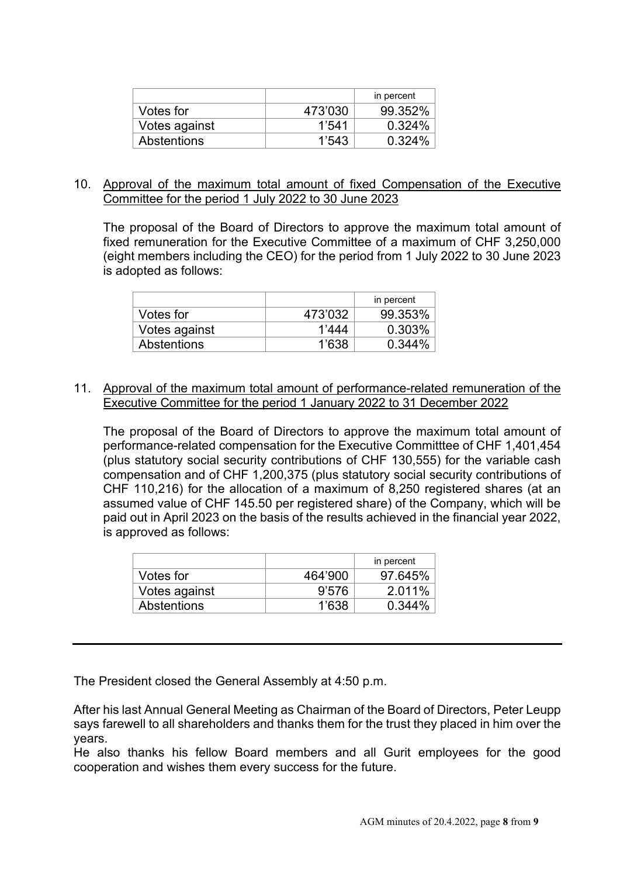|               |         | in percent |
|---------------|---------|------------|
| Votes for     | 473'030 | 99.352%    |
| Votes against | 1,541   | 0.324%     |
| Abstentions   | 1,543   | 0.324%     |

#### 10. Approval of the maximum total amount of fixed Compensation of the Executive Committee for the period 1 July 2022 to 30 June 2023

The proposal of the Board of Directors to approve the maximum total amount of fixed remuneration for the Executive Committee of a maximum of CHF 3,250,000 (eight members including the CEO) for the period from 1 July 2022 to 30 June 2023 is adopted as follows:

|                    |         | in percent |
|--------------------|---------|------------|
| Votes for          | 473'032 | 99.353%    |
| Votes against      | 1'444   | 0.303%     |
| <b>Abstentions</b> | 1'638   | 0.344%     |

#### 11. Approval of the maximum total amount of performance-related remuneration of the Executive Committee for the period 1 January 2022 to 31 December 2022

The proposal of the Board of Directors to approve the maximum total amount of performance-related compensation for the Executive Committtee of CHF 1,401,454 (plus statutory social security contributions of CHF 130,555) for the variable cash compensation and of CHF 1,200,375 (plus statutory social security contributions of CHF 110,216) for the allocation of a maximum of 8,250 registered shares (at an assumed value of CHF 145.50 per registered share) of the Company, which will be paid out in April 2023 on the basis of the results achieved in the financial year 2022, is approved as follows:

|                    |         | in percent |
|--------------------|---------|------------|
| Votes for          | 464'900 | 97.645%    |
| Votes against      | 9'576   | 2.011%     |
| <b>Abstentions</b> | 1'638   | 0.344%     |

The President closed the General Assembly at 4:50 p.m.

After his last Annual General Meeting as Chairman of the Board of Directors, Peter Leupp says farewell to all shareholders and thanks them for the trust they placed in him over the years.

He also thanks his fellow Board members and all Gurit employees for the good cooperation and wishes them every success for the future.